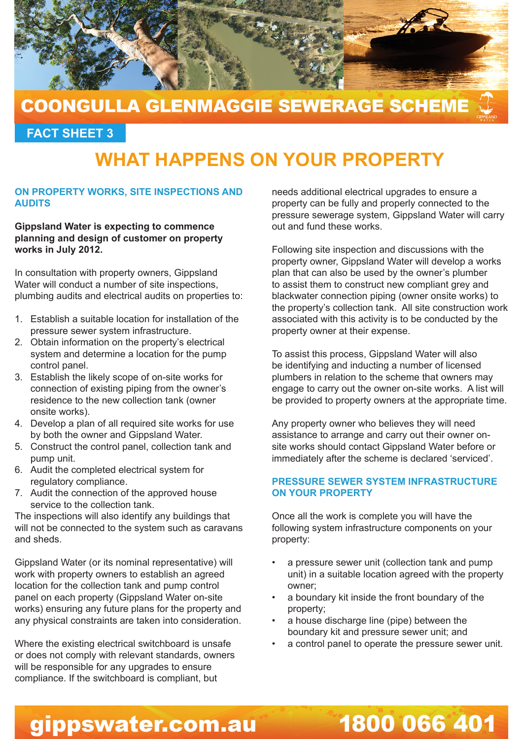

### **COONGULLA GLENMAGGIE SEWERAGE SCHEME**

**FACT SHEET 3**

## **WHAT HAPPENS ON YOUR PROPERTY**

#### **ON PROPERTY WORKS, SITE INSPECTIONS AND AUDITS**

**Gippsland Water is expecting to commence planning and design of customer on property works in July 2012.** 

In consultation with property owners, Gippsland Water will conduct a number of site inspections, plumbing audits and electrical audits on properties to:

- 1. Establish a suitable location for installation of the pressure sewer system infrastructure.
- 2. Obtain information on the property's electrical system and determine a location for the pump control panel.
- 3. Establish the likely scope of on-site works for connection of existing piping from the owner's residence to the new collection tank (owner onsite works).
- 4. Develop a plan of all required site works for use by both the owner and Gippsland Water.
- 5. Construct the control panel, collection tank and pump unit.
- 6. Audit the completed electrical system for regulatory compliance.
- 7. Audit the connection of the approved house service to the collection tank.

The inspections will also identify any buildings that will not be connected to the system such as caravans and sheds.

Gippsland Water (or its nominal representative) will work with property owners to establish an agreed location for the collection tank and pump control panel on each property (Gippsland Water on-site works) ensuring any future plans for the property and any physical constraints are taken into consideration.

Where the existing electrical switchboard is unsafe or does not comply with relevant standards, owners will be responsible for any upgrades to ensure compliance. If the switchboard is compliant, but

needs additional electrical upgrades to ensure a property can be fully and properly connected to the pressure sewerage system, Gippsland Water will carry out and fund these works.

Following site inspection and discussions with the property owner, Gippsland Water will develop a works plan that can also be used by the owner's plumber to assist them to construct new compliant grey and blackwater connection piping (owner onsite works) to the property's collection tank. All site construction work associated with this activity is to be conducted by the property owner at their expense.

To assist this process, Gippsland Water will also be identifying and inducting a number of licensed plumbers in relation to the scheme that owners may engage to carry out the owner on-site works. A list will be provided to property owners at the appropriate time.

Any property owner who believes they will need assistance to arrange and carry out their owner onsite works should contact Gippsland Water before or immediately after the scheme is declared 'serviced'.

#### **PRESSURE SEWER SYSTEM INFRASTRUCTURE ON YOUR PROPERTY**

Once all the work is complete you will have the following system infrastructure components on your property:

- a pressure sewer unit (collection tank and pump unit) in a suitable location agreed with the property owner;
- a boundary kit inside the front boundary of the property;
- a house discharge line (pipe) between the boundary kit and pressure sewer unit; and
- a control panel to operate the pressure sewer unit.

1800 066 401

# gippswater.com.au